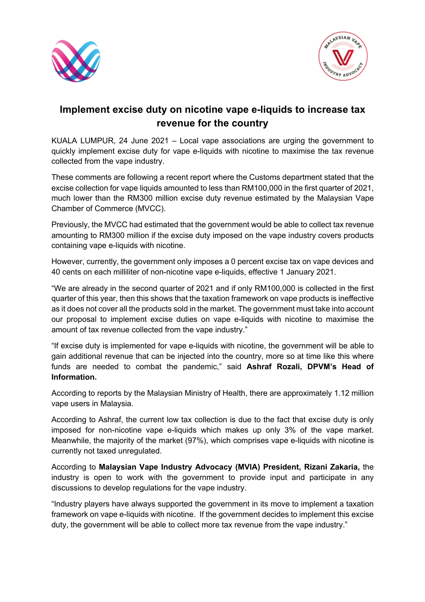



## **Implement excise duty on nicotine vape e-liquids to increase tax revenue for the country**

KUALA LUMPUR, 24 June 2021 – Local vape associations are urging the government to quickly implement excise duty for vape e-liquids with nicotine to maximise the tax revenue collected from the vape industry.

These comments are following a recent report where the Customs department stated that the excise collection for vape liquids amounted to less than RM100,000 in the first quarter of 2021, much lower than the RM300 million excise duty revenue estimated by the Malaysian Vape Chamber of Commerce (MVCC).

Previously, the MVCC had estimated that the government would be able to collect tax revenue amounting to RM300 million if the excise duty imposed on the vape industry covers products containing vape e-liquids with nicotine.

However, currently, the government only imposes a 0 percent excise tax on vape devices and 40 cents on each milliliter of non-nicotine vape e-liquids, effective 1 January 2021.

"We are already in the second quarter of 2021 and if only RM100,000 is collected in the first quarter of this year, then this shows that the taxation framework on vape products is ineffective as it does not cover all the products sold in the market. The government must take into account our proposal to implement excise duties on vape e-liquids with nicotine to maximise the amount of tax revenue collected from the vape industry."

"If excise duty is implemented for vape e-liquids with nicotine, the government will be able to gain additional revenue that can be injected into the country, more so at time like this where funds are needed to combat the pandemic," said **Ashraf Rozali, DPVM's Head of Information.**

According to reports by the Malaysian Ministry of Health, there are approximately 1.12 million vape users in Malaysia.

According to Ashraf, the current low tax collection is due to the fact that excise duty is only imposed for non-nicotine vape e-liquids which makes up only 3% of the vape market. Meanwhile, the majority of the market (97%), which comprises vape e-liquids with nicotine is currently not taxed unregulated.

According to **Malaysian Vape Industry Advocacy (MVIA) President, Rizani Zakaria,** the industry is open to work with the government to provide input and participate in any discussions to develop regulations for the vape industry.

"Industry players have always supported the government in its move to implement a taxation framework on vape e-liquids with nicotine. If the government decides to implement this excise duty, the government will be able to collect more tax revenue from the vape industry."